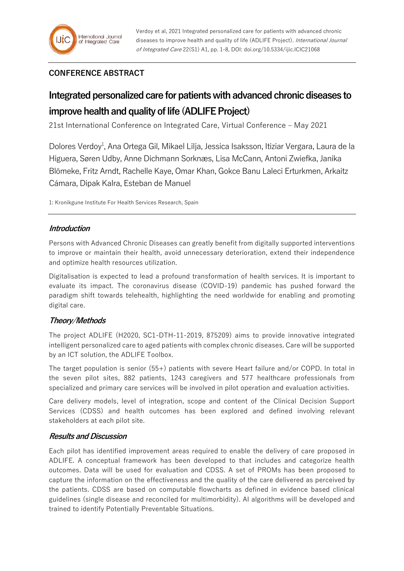# **CONFERENCE ABSTRACT**

# **Integrated personalized care for patients with advanced chronic diseases to improve health and quality of life (ADLIFE Project)**

21st International Conference on Integrated Care, Virtual Conference – May 2021

Dolores Verdoy<sup>1</sup>, Ana Ortega Gil, Mikael Lilja, Jessica Isaksson, Itiziar Vergara, Laura de la Higuera, Søren Udby, Anne Dichmann Sorknæs, Lisa McCann, Antoni Zwiefka, Janika Blömeke, Fritz Arndt, Rachelle Kaye, Omar Khan, Gokce Banu Laleci Erturkmen, Arkaitz Cámara, Dipak Kalra, Esteban de Manuel

1: Kronikgune Institute For Health Services Research, Spain

### **Introduction**

Persons with Advanced Chronic Diseases can greatly benefit from digitally supported interventions to improve or maintain their health, avoid unnecessary deterioration, extend their independence and optimize health resources utilization.

Digitalisation is expected to lead a profound transformation of health services. It is important to evaluate its impact. The coronavirus disease (COVID-19) pandemic has pushed forward the paradigm shift towards telehealth, highlighting the need worldwide for enabling and promoting digital care.

# **Theory/Methods**

The project ADLIFE (H2020, SC1-DTH-11-2019, 875209) aims to provide innovative integrated intelligent personalized care to aged patients with complex chronic diseases. Care will be supported by an ICT solution, the ADLIFE Toolbox.

The target population is senior (55+) patients with severe Heart failure and/or COPD. In total in the seven pilot sites, 882 patients, 1243 caregivers and 577 healthcare professionals from specialized and primary care services will be involved in pilot operation and evaluation activities.

Care delivery models, level of integration, scope and content of the Clinical Decision Support Services (CDSS) and health outcomes has been explored and defined involving relevant stakeholders at each pilot site.

# **Results and Discussion**

Each pilot has identified improvement areas required to enable the delivery of care proposed in ADLIFE. A conceptual framework has been developed to that includes and categorize health outcomes. Data will be used for evaluation and CDSS. A set of PROMs has been proposed to capture the information on the effectiveness and the quality of the care delivered as perceived by the patients. CDSS are based on computable flowcharts as defined in evidence based clinical guidelines (single disease and reconciled for multimorbidity). AI algorithms will be developed and trained to identify Potentially Preventable Situations.